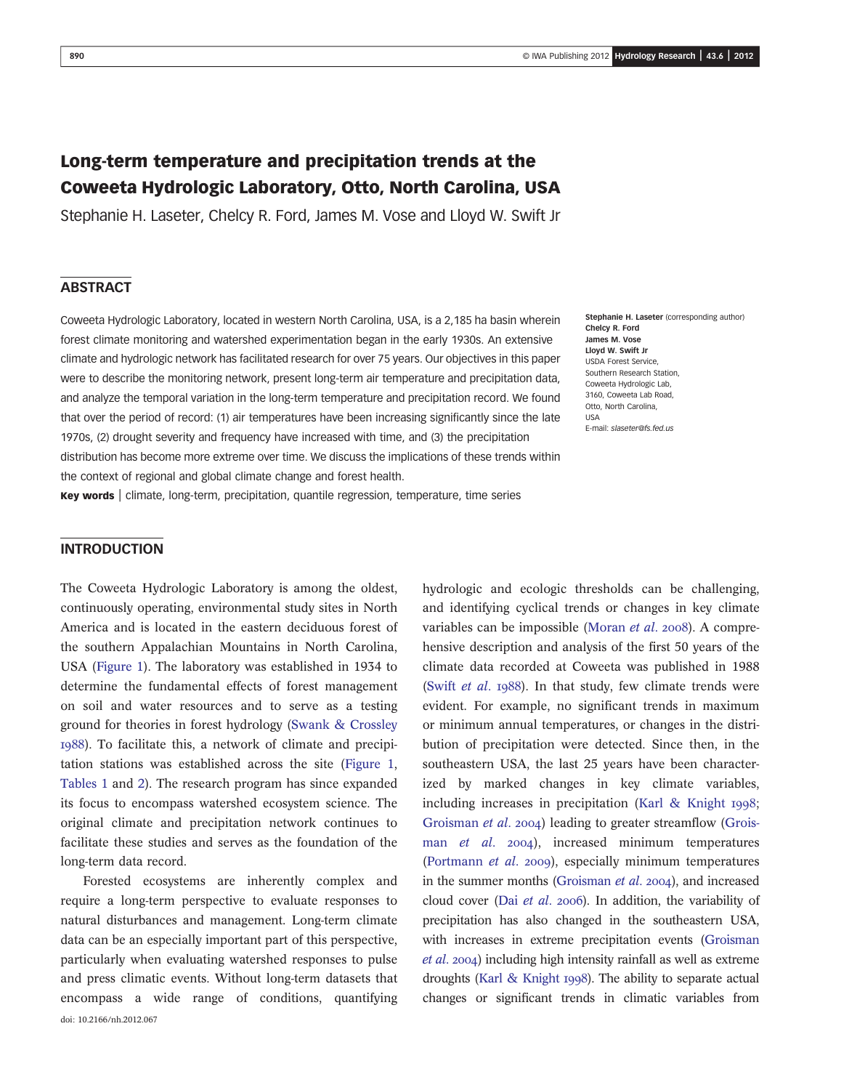# Long-term temperature and precipitation trends at the Coweeta Hydrologic Laboratory, Otto, North Carolina, USA

Stephanie H. Laseter, Chelcy R. Ford, James M. Vose and Lloyd W. Swift Jr

# **ABSTRACT**

Coweeta Hydrologic Laboratory, located in western North Carolina, USA, is a 2,185 ha basin wherein forest climate monitoring and watershed experimentation began in the early 1930s. An extensive climate and hydrologic network has facilitated research for over 75 years. Our objectives in this paper were to describe the monitoring network, present long-term air temperature and precipitation data, and analyze the temporal variation in the long-term temperature and precipitation record. We found that over the period of record: (1) air temperatures have been increasing significantly since the late 1970s, (2) drought severity and frequency have increased with time, and (3) the precipitation distribution has become more extreme over time. We discuss the implications of these trends within the context of regional and global climate change and forest health.

Key words | climate, long-term, precipitation, quantile regression, temperature, time series

Stephanie H. Laseter (corresponding author) Chelcy R. Ford James M. Vose Lloyd W. Swift Jr USDA Forest Service, Southern Research Station, Coweeta Hydrologic Lab, 3160, Coweeta Lab Road, Otto, North Carolina, USA E-mail: [slaseter@fs.fed.us](mailto:slaseter@fs.fed.us)

## INTRODUCTION

The Coweeta Hydrologic Laboratory is among the oldest, continuously operating, environmental study sites in North America and is located in the eastern deciduous forest of the southern Appalachian Mountains in North Carolina, USA (Figure 1). The laboratory was established in 1934 to determine the fundamental effects of forest management on soil and water resources and to serve as a testing ground for theories in forest hydrology (Swank & Crossley ). To facilitate this, a network of climate and precipitation stations was established across the site (Figure 1, Tables 1 and 2). The research program has since expanded its focus to encompass watershed ecosystem science. The original climate and precipitation network continues to facilitate these studies and serves as the foundation of the long-term data record.

Forested ecosystems are inherently complex and require a long-term perspective to evaluate responses to natural disturbances and management. Long-term climate data can be an especially important part of this perspective, particularly when evaluating watershed responses to pulse and press climatic events. Without long-term datasets that encompass a wide range of conditions, quantifying doi: 10.2166/nh.2012.067

hydrologic and ecologic thresholds can be challenging, and identifying cyclical trends or changes in key climate variables can be impossible (Moran  $et$   $al.$  2008). A comprehensive description and analysis of the first 50 years of the climate data recorded at Coweeta was published in 1988 (Swift *et al.*  $1988$ ). In that study, few climate trends were evident. For example, no significant trends in maximum or minimum annual temperatures, or changes in the distribution of precipitation were detected. Since then, in the southeastern USA, the last 25 years have been characterized by marked changes in key climate variables, including increases in precipitation (Karl & Knight 1998; Groisman et al. 2004) leading to greater streamflow (Groisman et al. 2004), increased minimum temperatures (Portmann et al. 2009), especially minimum temperatures in the summer months (Groisman  $et$   $al.$   $2004$ ), and increased cloud cover (Dai et al. 2006). In addition, the variability of precipitation has also changed in the southeastern USA, with increases in extreme precipitation events (Groisman  $et al. 2004$ ) including high intensity rainfall as well as extreme droughts (Karl & Knight 1998). The ability to separate actual changes or significant trends in climatic variables from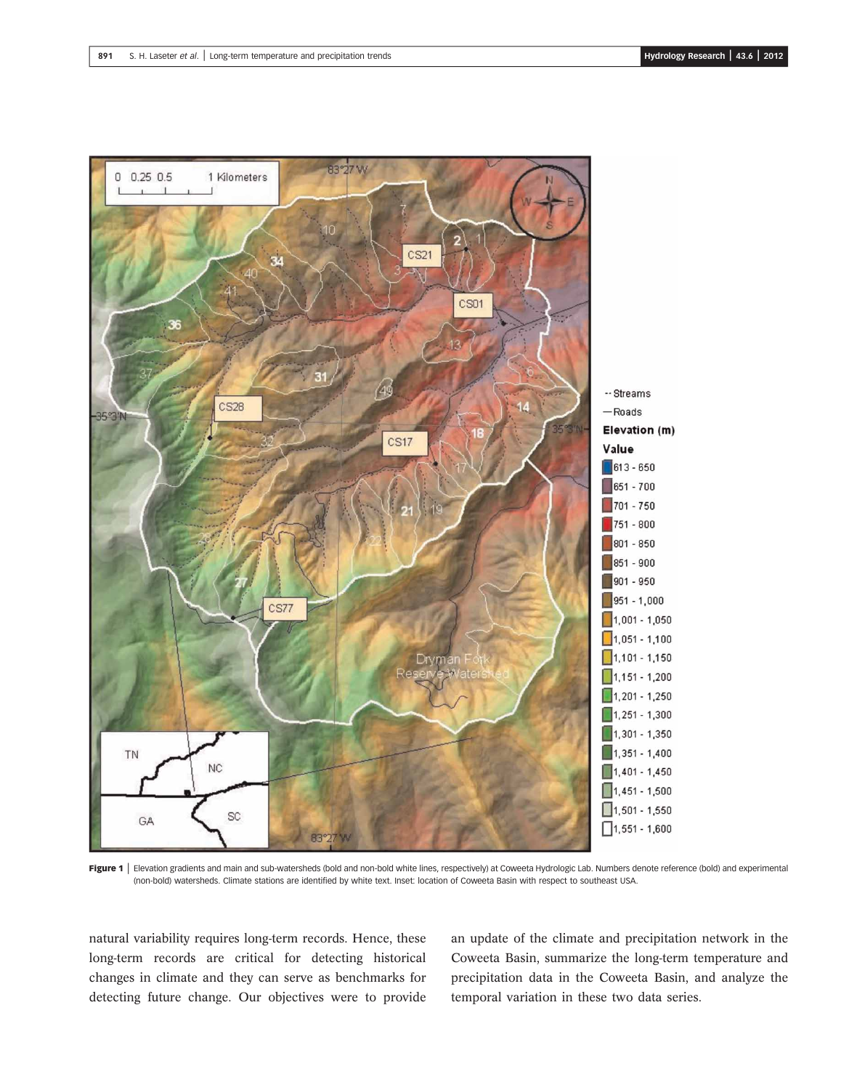

Figure 1 | Elevation gradients and main and sub-watersheds (bold and non-bold white lines, respectively) at Coweeta Hydrologic Lab. Numbers denote reference (bold) and experimental (non-bold) watersheds. Climate stations are identified by white text. Inset: location of Coweeta Basin with respect to southeast USA.

natural variability requires long-term records. Hence, these long-term records are critical for detecting historical changes in climate and they can serve as benchmarks for detecting future change. Our objectives were to provide an update of the climate and precipitation network in the Coweeta Basin, summarize the long-term temperature and precipitation data in the Coweeta Basin, and analyze the temporal variation in these two data series.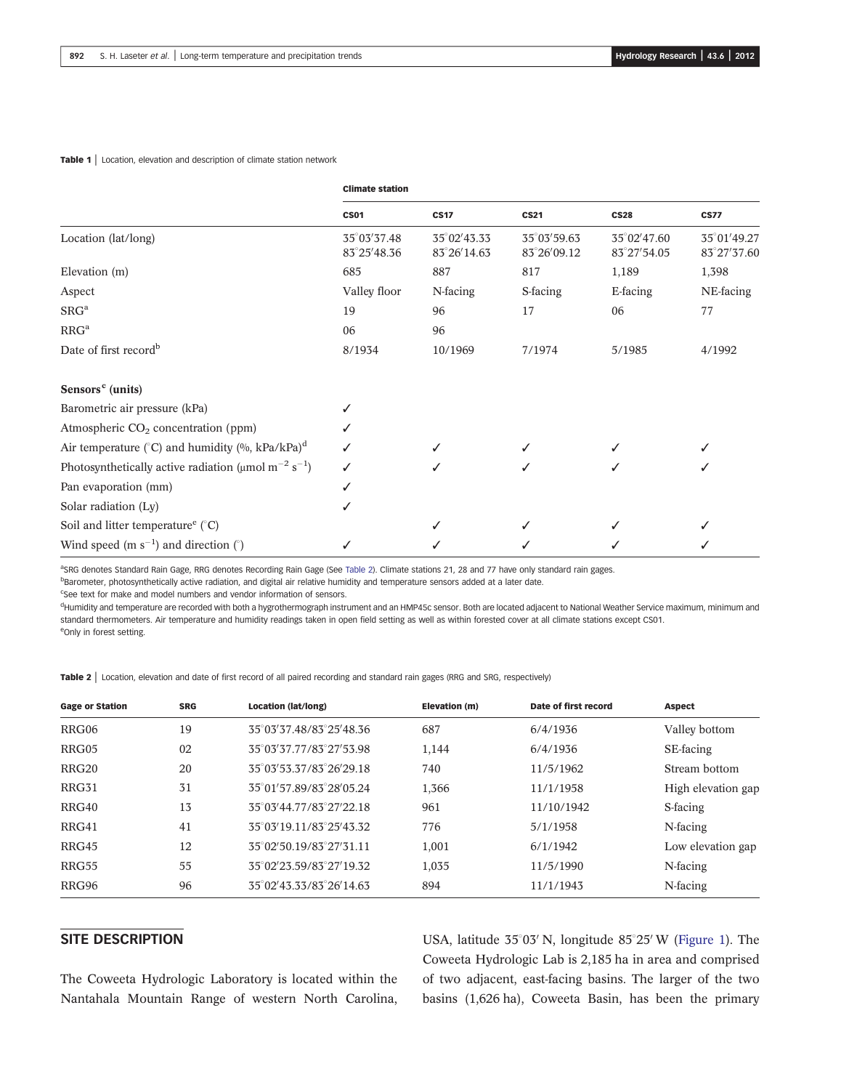|                                                                                   | <b>Climate station</b>     |                            |                            |                            |                            |  |
|-----------------------------------------------------------------------------------|----------------------------|----------------------------|----------------------------|----------------------------|----------------------------|--|
|                                                                                   | <b>CS01</b>                | <b>CS17</b>                | <b>CS21</b>                | <b>CS28</b>                | <b>CS77</b>                |  |
| Location (lat/long)                                                               | 35°03′37.48<br>83°25′48.36 | 35°02'43.33<br>83°26′14.63 | 35°03′59.63<br>83°26′09.12 | 35°02'47.60<br>83°27′54.05 | 35°01'49.27<br>83°27′37.60 |  |
| Elevation (m)                                                                     | 685                        | 887                        | 817                        | 1,189                      | 1,398                      |  |
| Aspect                                                                            | Valley floor               | N-facing                   | S-facing                   | E-facing                   | NE-facing                  |  |
| SRG <sup>a</sup>                                                                  | 19                         | 96                         | 17                         | 06                         | 77                         |  |
| RRG <sup>a</sup>                                                                  | 06                         | 96                         |                            |                            |                            |  |
| Date of first record <sup>b</sup>                                                 | 8/1934                     | 10/1969                    | 7/1974                     | 5/1985                     | 4/1992                     |  |
| Sensors <sup>c</sup> (units)                                                      |                            |                            |                            |                            |                            |  |
| Barometric air pressure (kPa)                                                     | ✓                          |                            |                            |                            |                            |  |
| Atmospheric $CO2$ concentration (ppm)                                             |                            |                            |                            |                            |                            |  |
| Air temperature ( $^{\circ}$ C) and humidity (%, kPa/kPa) <sup>d</sup>            |                            | ✓                          |                            |                            |                            |  |
| Photosynthetically active radiation ( $\mu$ mol m <sup>-2</sup> s <sup>-1</sup> ) | ✓                          | ✓                          |                            |                            |                            |  |
| Pan evaporation (mm)                                                              | ✓                          |                            |                            |                            |                            |  |
| Solar radiation (Ly)                                                              | ✓                          |                            |                            |                            |                            |  |
| Soil and litter temperature $(C)$                                                 |                            | ✓                          |                            |                            |                            |  |
| Wind speed (m $s^{-1}$ ) and direction (°)                                        |                            |                            |                            |                            |                            |  |

<sup>a</sup>SRG denotes Standard Rain Gage, RRG denotes Recording Rain Gage (See Table 2). Climate stations 21, 28 and 77 have only standard rain gages.

**Barometer, photosynthetically active radiation, and digital air relative humidity and temperature sensors added at a later date.** 

<sup>c</sup>See text for make and model numbers and vendor information of sensors.

<sup>d</sup>Humidity and temperature are recorded with both a hygrothermograph instrument and an HMP45c sensor. Both are located adjacent to National Weather Service maximum, minimum and standard thermometers. Air temperature and humidity readings taken in open field setting as well as within forested cover at all climate stations except CS01. eOnly in forest setting.

Table 2 | Location, elevation and date of first record of all paired recording and standard rain gages (RRG and SRG, respectively)

| <b>Gage or Station</b> | <b>SRG</b> | Location (lat/long)     | Elevation (m) | Date of first record | <b>Aspect</b>      |
|------------------------|------------|-------------------------|---------------|----------------------|--------------------|
| RRG06                  | 19         | 35°03′37.48/83°25′48.36 | 687           | 6/4/1936             | Valley bottom      |
| RRG05                  | 02         | 35°03′37.77/83°27′53.98 | 1,144         | 6/4/1936             | SE-facing          |
| RRG <sub>20</sub>      | 20         | 35°03′53.37/83°26′29.18 | 740           | 11/5/1962            | Stream bottom      |
| RRG31                  | 31         | 35°01'57.89/83°28'05.24 | 1,366         | 11/1/1958            | High elevation gap |
| RRG40                  | 13         | 35°03′44.77/83°27′22.18 | 961           | 11/10/1942           | S-facing           |
| RRG41                  | 41         | 35°03′19.11/83°25′43.32 | 776           | 5/1/1958             | N-facing           |
| RRG45                  | 12         | 35°02'50.19/83°27'31.11 | 1,001         | 6/1/1942             | Low elevation gap  |
| RRG55                  | 55         | 35°02′23.59/83°27′19.32 | 1,035         | 11/5/1990            | N-facing           |
| RRG96                  | 96         | 35°02′43.33/83°26′14.63 | 894           | 11/1/1943            | N-facing           |

## SITE DESCRIPTION

The Coweeta Hydrologic Laboratory is located within the Nantahala Mountain Range of western North Carolina,

USA, latitude  $35^{\circ}03'$  N, longitude  $85^{\circ}25'$  W (Figure 1). The Coweeta Hydrologic Lab is 2,185 ha in area and comprised of two adjacent, east-facing basins. The larger of the two basins (1,626 ha), Coweeta Basin, has been the primary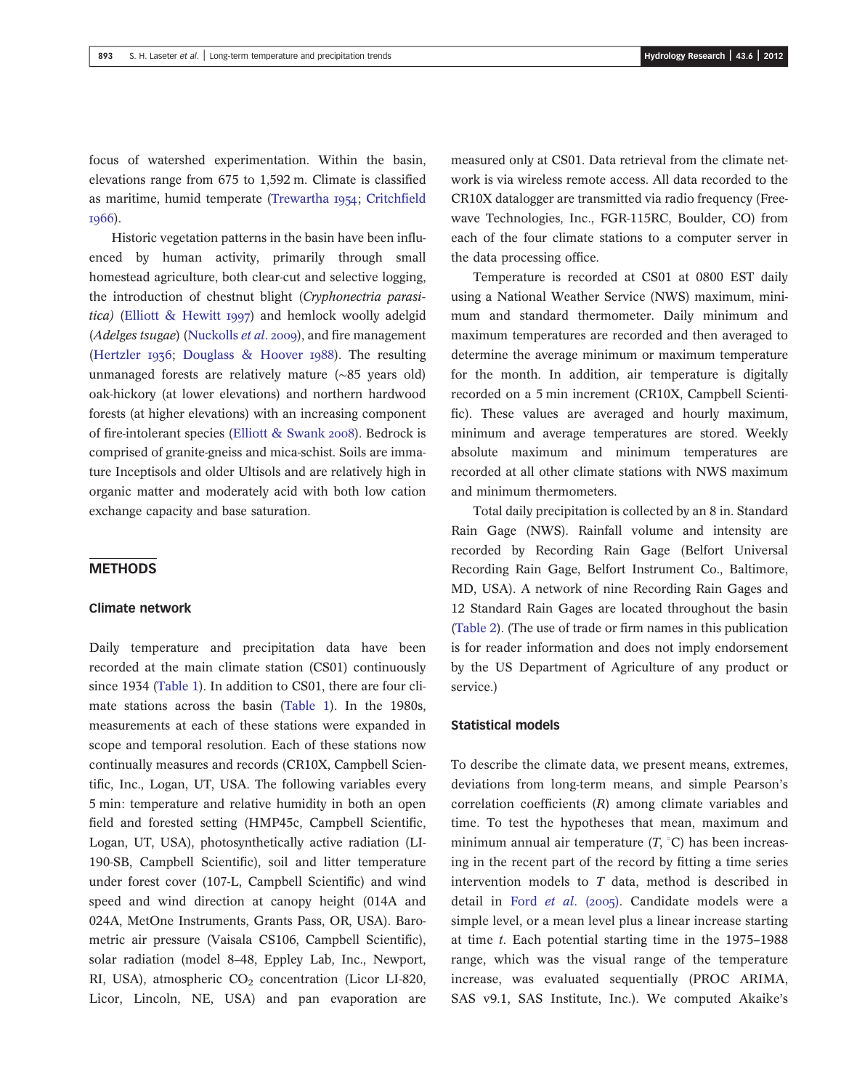focus of watershed experimentation. Within the basin, elevations range from 675 to 1,592 m. Climate is classified as maritime, humid temperate (Trewartha 1954; Critchfield 1966).

Historic vegetation patterns in the basin have been influenced by human activity, primarily through small homestead agriculture, both clear-cut and selective logging, the introduction of chestnut blight (Cryphonectria parasitica) (Elliott & Hewitt 1997) and hemlock woolly adelgid (Adelges tsugae) (Nuckolls et al. 2009), and fire management (Hertzler 1936; Douglass & Hoover 1988). The resulting unmanaged forests are relatively mature (∼85 years old) oak-hickory (at lower elevations) and northern hardwood forests (at higher elevations) with an increasing component of fire-intolerant species (Elliott & Swank 2008). Bedrock is comprised of granite-gneiss and mica-schist. Soils are immature Inceptisols and older Ultisols and are relatively high in organic matter and moderately acid with both low cation exchange capacity and base saturation.

#### **METHODS**

## Climate network

Daily temperature and precipitation data have been recorded at the main climate station (CS01) continuously since 1934 (Table 1). In addition to CS01, there are four climate stations across the basin (Table 1). In the 1980s, measurements at each of these stations were expanded in scope and temporal resolution. Each of these stations now continually measures and records (CR10X, Campbell Scientific, Inc., Logan, UT, USA. The following variables every 5 min: temperature and relative humidity in both an open field and forested setting (HMP45c, Campbell Scientific, Logan, UT, USA), photosynthetically active radiation (LI-190-SB, Campbell Scientific), soil and litter temperature under forest cover (107-L, Campbell Scientific) and wind speed and wind direction at canopy height (014A and 024A, MetOne Instruments, Grants Pass, OR, USA). Barometric air pressure (Vaisala CS106, Campbell Scientific), solar radiation (model 8–48, Eppley Lab, Inc., Newport, RI, USA), atmospheric  $CO<sub>2</sub>$  concentration (Licor LI-820, Licor, Lincoln, NE, USA) and pan evaporation are

measured only at CS01. Data retrieval from the climate network is via wireless remote access. All data recorded to the CR10X datalogger are transmitted via radio frequency (Freewave Technologies, Inc., FGR-115RC, Boulder, CO) from each of the four climate stations to a computer server in the data processing office.

Temperature is recorded at CS01 at 0800 EST daily using a National Weather Service (NWS) maximum, minimum and standard thermometer. Daily minimum and maximum temperatures are recorded and then averaged to determine the average minimum or maximum temperature for the month. In addition, air temperature is digitally recorded on a 5 min increment (CR10X, Campbell Scientific). These values are averaged and hourly maximum, minimum and average temperatures are stored. Weekly absolute maximum and minimum temperatures are recorded at all other climate stations with NWS maximum and minimum thermometers.

Total daily precipitation is collected by an 8 in. Standard Rain Gage (NWS). Rainfall volume and intensity are recorded by Recording Rain Gage (Belfort Universal Recording Rain Gage, Belfort Instrument Co., Baltimore, MD, USA). A network of nine Recording Rain Gages and 12 Standard Rain Gages are located throughout the basin (Table 2). (The use of trade or firm names in this publication is for reader information and does not imply endorsement by the US Department of Agriculture of any product or service.)

#### Statistical models

To describe the climate data, we present means, extremes, deviations from long-term means, and simple Pearson's correlation coefficients (R) among climate variables and time. To test the hypotheses that mean, maximum and minimum annual air temperature  $(T, {}^{\circ}C)$  has been increasing in the recent part of the record by fitting a time series intervention models to T data, method is described in detail in Ford et al.  $(2005)$ . Candidate models were a simple level, or a mean level plus a linear increase starting at time  $t$ . Each potential starting time in the 1975–1988 range, which was the visual range of the temperature increase, was evaluated sequentially (PROC ARIMA, SAS v9.1, SAS Institute, Inc.). We computed Akaike's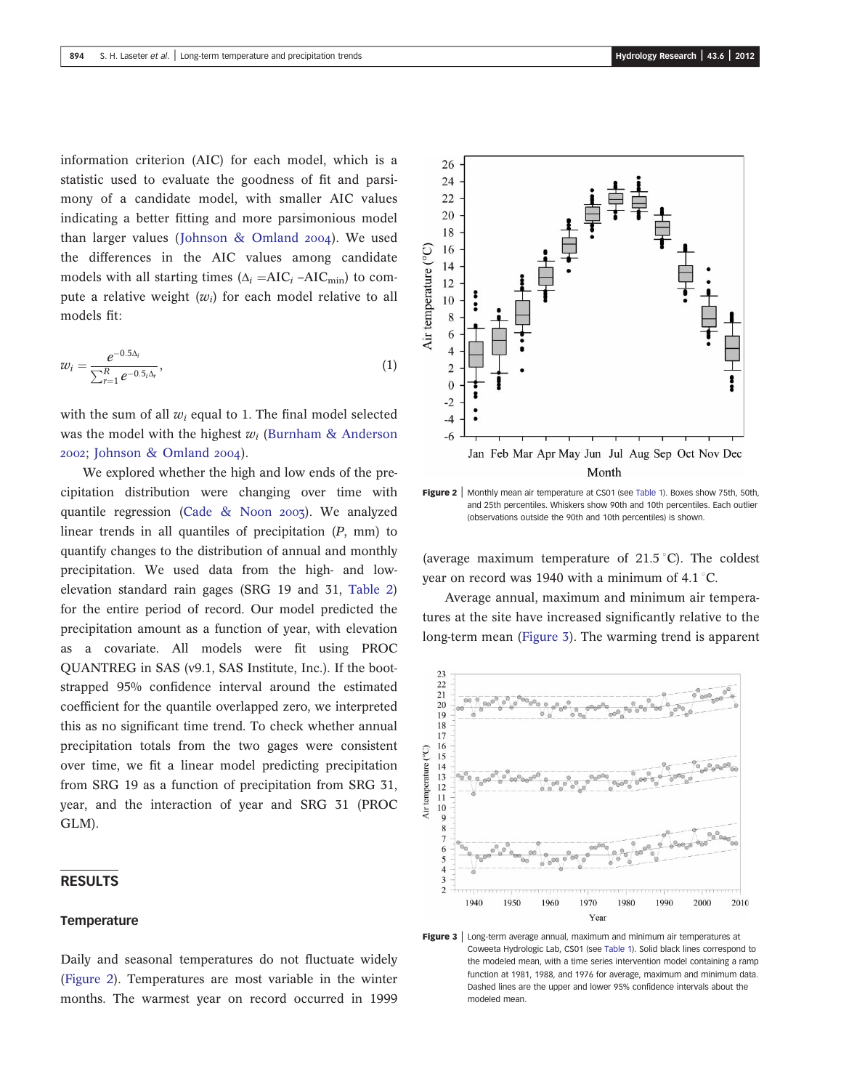information criterion (AIC) for each model, which is a statistic used to evaluate the goodness of fit and parsimony of a candidate model, with smaller AIC values indicating a better fitting and more parsimonious model than larger values (Johnson & Omland  $2004$ ). We used the differences in the AIC values among candidate models with all starting times  $(\Delta_i = AIC_i - AIC_{min})$  to compute a relative weight  $(w_i)$  for each model relative to all models fit:

$$
w_i = \frac{e^{-0.5\Delta_i}}{\sum_{r=1}^R e^{-0.5\Delta_r}},\tag{1}
$$

with the sum of all  $w_i$  equal to 1. The final model selected was the model with the highest  $w_i$  (Burnham & Anderson 2002; Johnson & Omland 2004).

We explored whether the high and low ends of the precipitation distribution were changing over time with quantile regression (Cade & Noon  $2007$ ). We analyzed linear trends in all quantiles of precipitation (P, mm) to quantify changes to the distribution of annual and monthly precipitation. We used data from the high- and lowelevation standard rain gages (SRG 19 and 31, Table 2) for the entire period of record. Our model predicted the precipitation amount as a function of year, with elevation as a covariate. All models were fit using PROC QUANTREG in SAS (v9.1, SAS Institute, Inc.). If the bootstrapped 95% confidence interval around the estimated coefficient for the quantile overlapped zero, we interpreted this as no significant time trend. To check whether annual precipitation totals from the two gages were consistent over time, we fit a linear model predicting precipitation from SRG 19 as a function of precipitation from SRG 31, year, and the interaction of year and SRG 31 (PROC GLM).

## RESULTS

#### **Temperature**

Daily and seasonal temperatures do not fluctuate widely (Figure 2). Temperatures are most variable in the winter months. The warmest year on record occurred in 1999

![](_page_4_Figure_8.jpeg)

Air temperature (°C

and 25th percentiles. Whiskers show 90th and 10th percentiles. Each outlier (observations outside the 90th and 10th percentiles) is shown.

(average maximum temperature of  $21.5\textdegree C$ ). The coldest year on record was 1940 with a minimum of 4.1  $\degree$ C.

Average annual, maximum and minimum air temperatures at the site have increased significantly relative to the long-term mean (Figure 3). The warming trend is apparent

![](_page_4_Figure_12.jpeg)

Figure 3 | Long-term average annual, maximum and minimum air temperatures at Coweeta Hydrologic Lab, CS01 (see Table 1). Solid black lines correspond to the modeled mean, with a time series intervention model containing a ramp function at 1981, 1988, and 1976 for average, maximum and minimum data. Dashed lines are the upper and lower 95% confidence intervals about the modeled mean.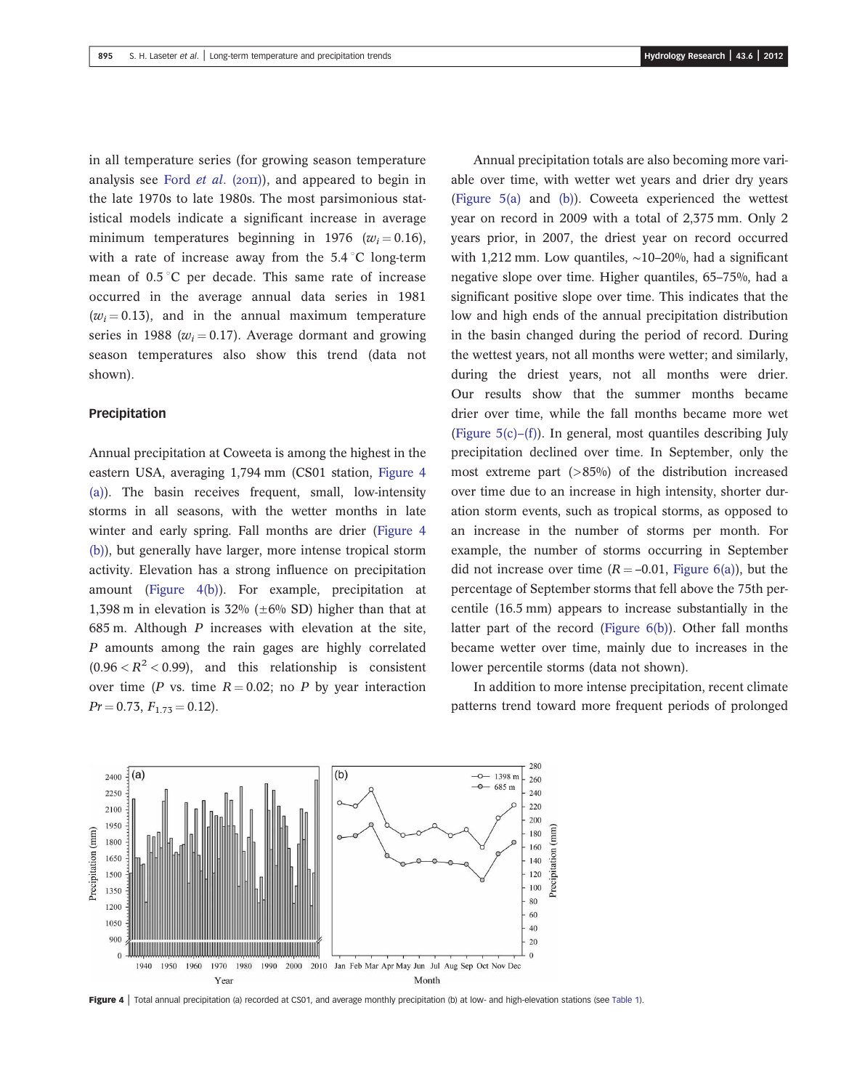in all temperature series (for growing season temperature analysis see Ford  $et$  al. (2011)), and appeared to begin in the late 1970s to late 1980s. The most parsimonious statistical models indicate a significant increase in average minimum temperatures beginning in 1976 ( $w_i = 0.16$ ), with a rate of increase away from the  $5.4\degree C$  long-term mean of  $0.5\degree$ C per decade. This same rate of increase occurred in the average annual data series in 1981  $(w_i = 0.13)$ , and in the annual maximum temperature series in 1988 ( $w_i = 0.17$ ). Average dormant and growing season temperatures also show this trend (data not shown).

#### Precipitation

Annual precipitation at Coweeta is among the highest in the eastern USA, averaging 1,794 mm (CS01 station, Figure 4 (a)). The basin receives frequent, small, low-intensity storms in all seasons, with the wetter months in late winter and early spring. Fall months are drier (Figure 4 (b)), but generally have larger, more intense tropical storm activity. Elevation has a strong influence on precipitation amount (Figure 4(b)). For example, precipitation at 1,398 m in elevation is 32% ( $\pm 6\%$  SD) higher than that at 685 m. Although  $P$  increases with elevation at the site, P amounts among the rain gages are highly correlated  $(0.96 < R^2 < 0.99)$ , and this relationship is consistent over time (P vs. time  $R = 0.02$ ; no P by year interaction  $Pr = 0.73, F_{1.73} = 0.12$ .

Annual precipitation totals are also becoming more variable over time, with wetter wet years and drier dry years (Figure 5(a) and (b)). Coweeta experienced the wettest year on record in 2009 with a total of 2,375 mm. Only 2 years prior, in 2007, the driest year on record occurred with 1,212 mm. Low quantiles, ∼10–20%, had a significant negative slope over time. Higher quantiles, 65–75%, had a significant positive slope over time. This indicates that the low and high ends of the annual precipitation distribution in the basin changed during the period of record. During the wettest years, not all months were wetter; and similarly, during the driest years, not all months were drier. Our results show that the summer months became drier over time, while the fall months became more wet (Figure 5(c)–(f)). In general, most quantiles describing July precipitation declined over time. In September, only the most extreme part (>85%) of the distribution increased over time due to an increase in high intensity, shorter duration storm events, such as tropical storms, as opposed to an increase in the number of storms per month. For example, the number of storms occurring in September did not increase over time  $(R = -0.01$ , Figure 6(a)), but the percentage of September storms that fell above the 75th percentile (16.5 mm) appears to increase substantially in the latter part of the record (Figure 6(b)). Other fall months became wetter over time, mainly due to increases in the lower percentile storms (data not shown).

In addition to more intense precipitation, recent climate patterns trend toward more frequent periods of prolonged

![](_page_5_Figure_7.jpeg)

Figure 4 | Total annual precipitation (a) recorded at CS01, and average monthly precipitation (b) at low- and high-elevation stations (see Table 1).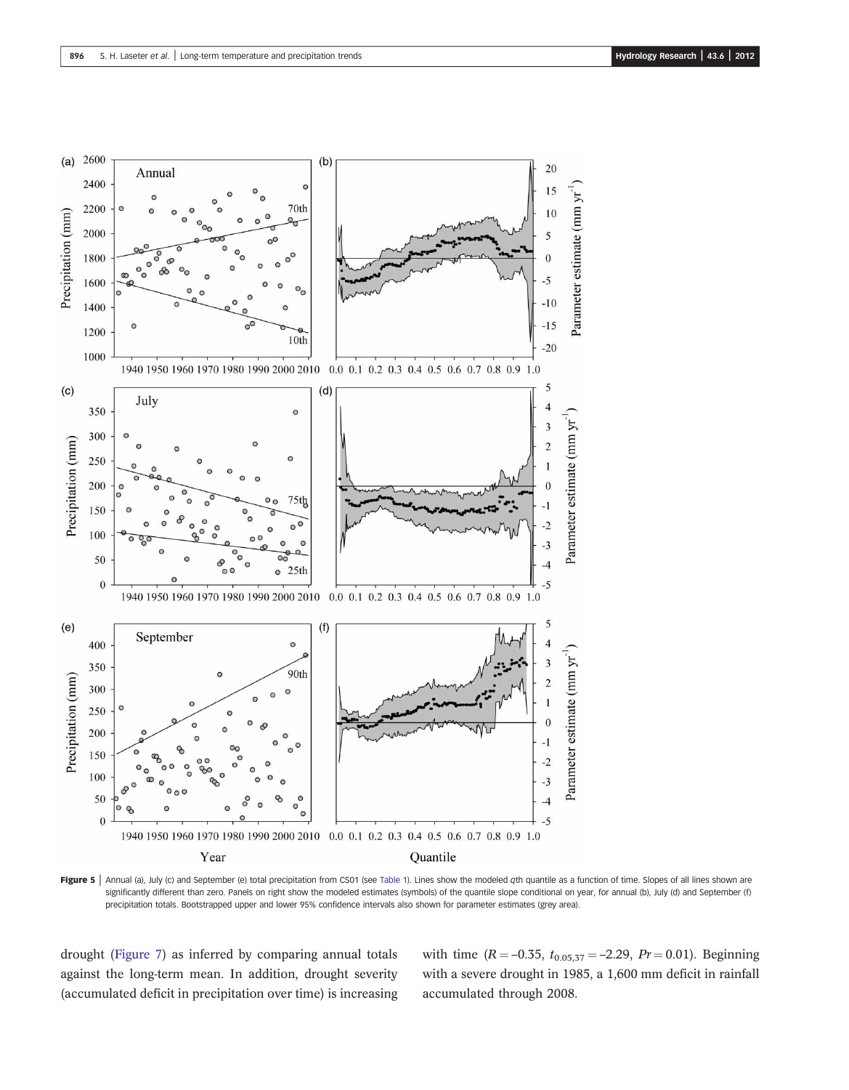![](_page_6_Figure_2.jpeg)

Figure 5 | Annual (a), July (c) and September (e) total precipitation from CS01 (see Table 1). Lines show the modeled qth quantile as a function of time. Slopes of all lines shown are significantly different than zero. Panels on right show the modeled estimates (symbols) of the quantile slope conditional on year, for annual (b), July (d) and September (f) precipitation totals. Bootstrapped upper and lower 95% confidence intervals also shown for parameter estimates (grey area).

drought (Figure 7) as inferred by comparing annual totals against the long-term mean. In addition, drought severity (accumulated deficit in precipitation over time) is increasing with time  $(R = -0.35, t_{0.05,37} = -2.29, Pr = 0.01)$ . Beginning with a severe drought in 1985, a 1,600 mm deficit in rainfall accumulated through 2008.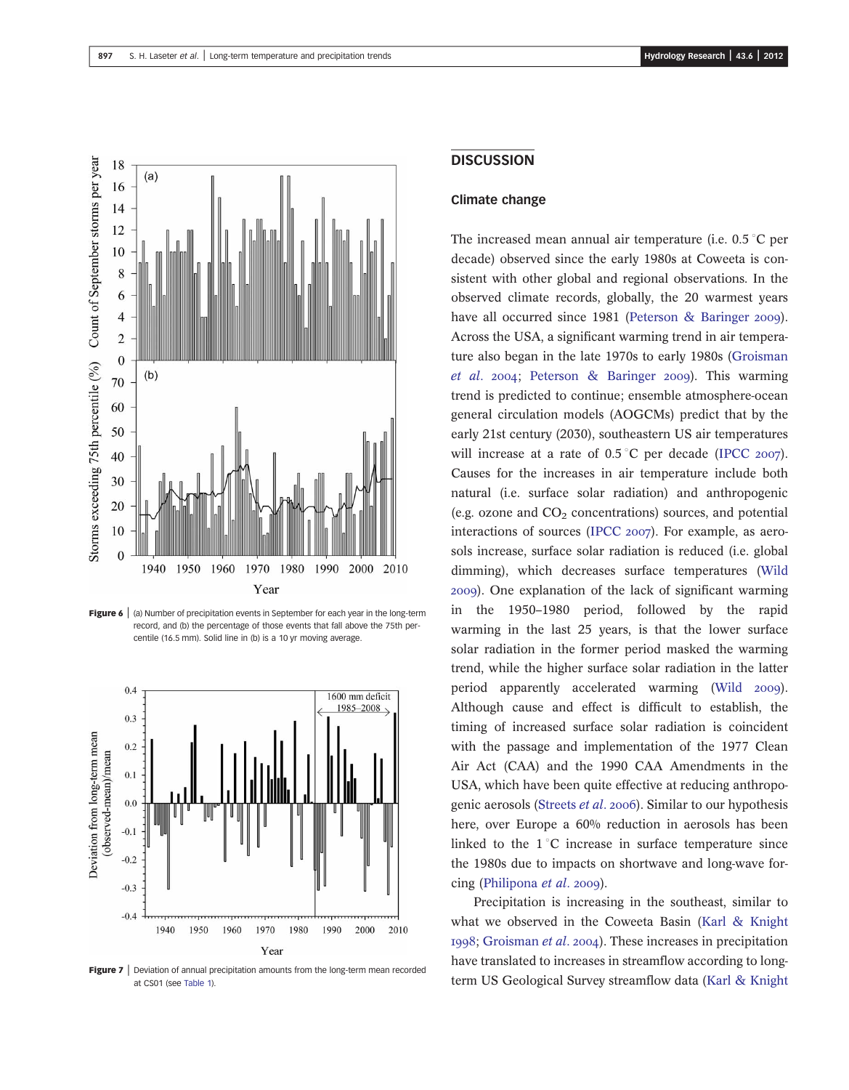![](_page_7_Figure_2.jpeg)

Figure 6 | (a) Number of precipitation events in September for each year in the long-term record, and (b) the percentage of those events that fall above the 75th percentile (16.5 mm). Solid line in (b) is a 10 yr moving average.

![](_page_7_Figure_4.jpeg)

Figure 7 | Deviation of annual precipitation amounts from the long-term mean recorded at CS01 (see Table 1).

## **DISCUSSION**

#### Climate change

The increased mean annual air temperature (i.e.  $0.5\degree$ C per decade) observed since the early 1980s at Coweeta is consistent with other global and regional observations. In the observed climate records, globally, the 20 warmest years have all occurred since 1981 (Peterson & Baringer 2009). Across the USA, a significant warming trend in air temperature also began in the late 1970s to early 1980s (Groisman et al. 2004; Peterson & Baringer 2009). This warming trend is predicted to continue; ensemble atmosphere-ocean general circulation models (AOGCMs) predict that by the early 21st century (2030), southeastern US air temperatures will increase at a rate of  $0.5^{\circ}$ C per decade (IPCC 2007). Causes for the increases in air temperature include both natural (i.e. surface solar radiation) and anthropogenic (e.g. ozone and  $CO<sub>2</sub>$  concentrations) sources, and potential interactions of sources (IPCC  $2007$ ). For example, as aerosols increase, surface solar radiation is reduced (i.e. global dimming), which decreases surface temperatures (Wild ). One explanation of the lack of significant warming in the 1950–1980 period, followed by the rapid warming in the last 25 years, is that the lower surface solar radiation in the former period masked the warming trend, while the higher surface solar radiation in the latter period apparently accelerated warming (Wild 2009). Although cause and effect is difficult to establish, the timing of increased surface solar radiation is coincident with the passage and implementation of the 1977 Clean Air Act (CAA) and the 1990 CAA Amendments in the USA, which have been quite effective at reducing anthropogenic aerosols (Streets *et al.* 2006). Similar to our hypothesis here, over Europe a 60% reduction in aerosols has been linked to the  $1^{\circ}$ C increase in surface temperature since the 1980s due to impacts on shortwave and long-wave forcing (Philipona *et al.* 2009).

Precipitation is increasing in the southeast, similar to what we observed in the Coweeta Basin (Karl & Knight 1998; Groisman et al. 2004). These increases in precipitation have translated to increases in streamflow according to longterm US Geological Survey streamflow data (Karl & Knight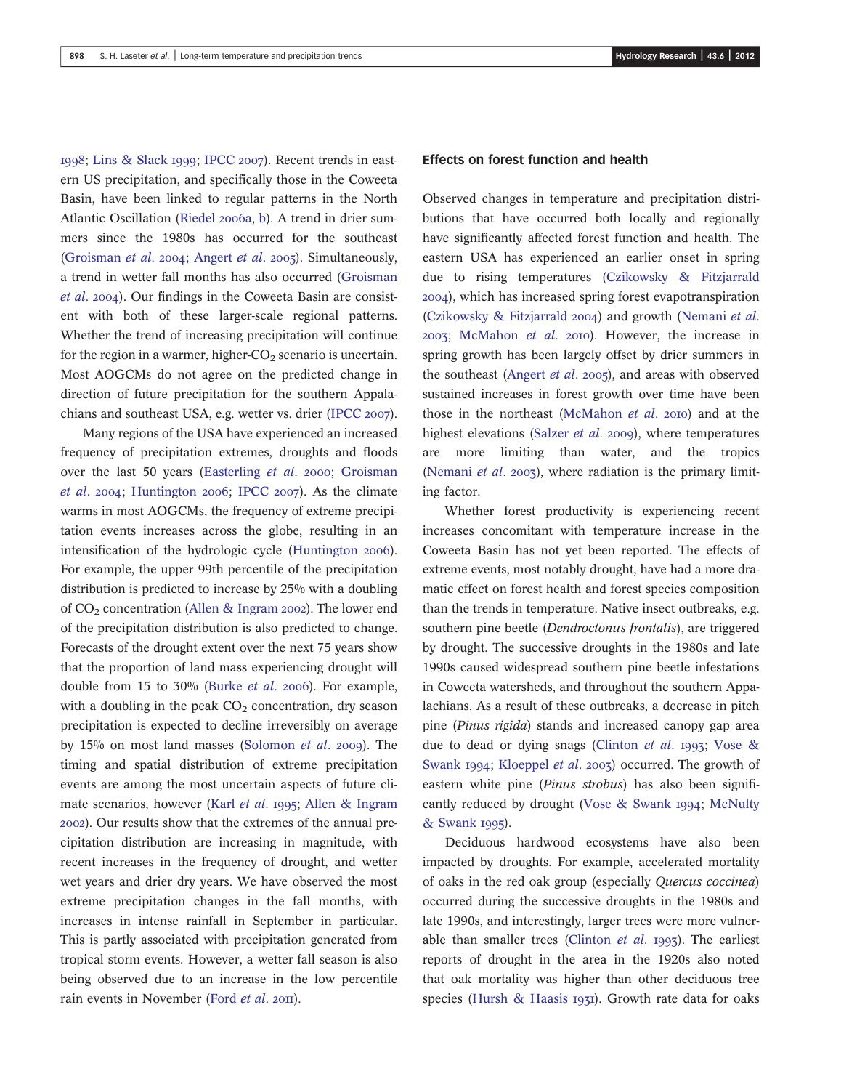1998; Lins & Slack 1999; IPCC 2007). Recent trends in eastern US precipitation, and specifically those in the Coweeta Basin, have been linked to regular patterns in the North Atlantic Oscillation (Riedel 2006a, b). A trend in drier summers since the 1980s has occurred for the southeast (Groisman et al. 2004; Angert et al. 2005). Simultaneously, a trend in wetter fall months has also occurred (Groisman et al. 2004). Our findings in the Coweeta Basin are consistent with both of these larger-scale regional patterns. Whether the trend of increasing precipitation will continue for the region in a warmer, higher- $CO<sub>2</sub>$  scenario is uncertain. Most AOGCMs do not agree on the predicted change in direction of future precipitation for the southern Appalachians and southeast USA, e.g. wetter vs. drier (IPCC 2007).

Many regions of the USA have experienced an increased frequency of precipitation extremes, droughts and floods over the last 50 years (Easterling et al. 2000; Groisman *et al.* 2004; Huntington 2006; IPCC 2007). As the climate warms in most AOGCMs, the frequency of extreme precipitation events increases across the globe, resulting in an intensification of the hydrologic cycle (Huntington 2006). For example, the upper 99th percentile of the precipitation distribution is predicted to increase by 25% with a doubling of  $CO<sub>2</sub>$  concentration (Allen & Ingram 2002). The lower end of the precipitation distribution is also predicted to change. Forecasts of the drought extent over the next 75 years show that the proportion of land mass experiencing drought will double from 15 to 30% (Burke  $et$   $al.$  2006). For example, with a doubling in the peak  $CO<sub>2</sub>$  concentration, dry season precipitation is expected to decline irreversibly on average by  $15\%$  on most land masses (Solomon *et al.* 2009). The timing and spatial distribution of extreme precipitation events are among the most uncertain aspects of future climate scenarios, however (Karl et al. 1995; Allen & Ingram ). Our results show that the extremes of the annual precipitation distribution are increasing in magnitude, with recent increases in the frequency of drought, and wetter wet years and drier dry years. We have observed the most extreme precipitation changes in the fall months, with increases in intense rainfall in September in particular. This is partly associated with precipitation generated from tropical storm events. However, a wetter fall season is also being observed due to an increase in the low percentile rain events in November (Ford et al. 2011).

#### Effects on forest function and health

Observed changes in temperature and precipitation distributions that have occurred both locally and regionally have significantly affected forest function and health. The eastern USA has experienced an earlier onset in spring due to rising temperatures (Czikowsky & Fitzjarrald ), which has increased spring forest evapotranspiration (Czikowsky  $\&$  Fitzjarrald 2004) and growth (Nemani et al.  $2003$ ; McMahon *et al.*  $2010$ ). However, the increase in spring growth has been largely offset by drier summers in the southeast (Angert *et al.* 2005), and areas with observed sustained increases in forest growth over time have been those in the northeast (McMahon *et al.* 2010) and at the highest elevations (Salzer et al. 2009), where temperatures are more limiting than water, and the tropics (Nemani *et al.* 2003), where radiation is the primary limiting factor.

Whether forest productivity is experiencing recent increases concomitant with temperature increase in the Coweeta Basin has not yet been reported. The effects of extreme events, most notably drought, have had a more dramatic effect on forest health and forest species composition than the trends in temperature. Native insect outbreaks, e.g. southern pine beetle (Dendroctonus frontalis), are triggered by drought. The successive droughts in the 1980s and late 1990s caused widespread southern pine beetle infestations in Coweeta watersheds, and throughout the southern Appalachians. As a result of these outbreaks, a decrease in pitch pine (Pinus rigida) stands and increased canopy gap area due to dead or dying snags (Clinton et al. 1993; Vose & Swank 1994; Kloeppel et al. 2003) occurred. The growth of eastern white pine (Pinus strobus) has also been significantly reduced by drought (Vose & Swank 1994; McNulty & Swank 1995).

Deciduous hardwood ecosystems have also been impacted by droughts. For example, accelerated mortality of oaks in the red oak group (especially Quercus coccinea) occurred during the successive droughts in the 1980s and late 1990s, and interestingly, larger trees were more vulnerable than smaller trees (Clinton *et al.*  $1993$ ). The earliest reports of drought in the area in the 1920s also noted that oak mortality was higher than other deciduous tree species (Hursh & Haasis 1931). Growth rate data for oaks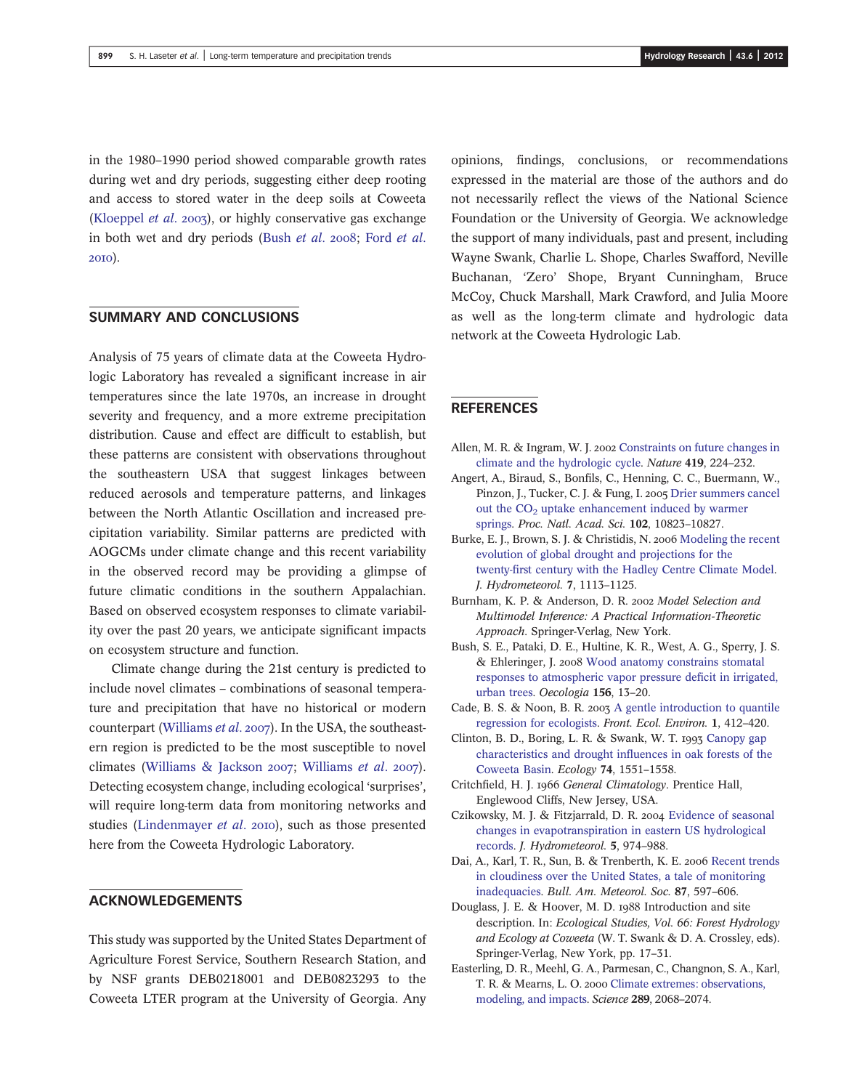in the 1980–1990 period showed comparable growth rates during wet and dry periods, suggesting either deep rooting and access to stored water in the deep soils at Coweeta (Kloeppel *et al.* 2003), or highly conservative gas exchange in both wet and dry periods (Bush et al. 2008; Ford et al. 2010).

## SUMMARY AND CONCLUSIONS

Analysis of 75 years of climate data at the Coweeta Hydrologic Laboratory has revealed a significant increase in air temperatures since the late 1970s, an increase in drought severity and frequency, and a more extreme precipitation distribution. Cause and effect are difficult to establish, but these patterns are consistent with observations throughout the southeastern USA that suggest linkages between reduced aerosols and temperature patterns, and linkages between the North Atlantic Oscillation and increased precipitation variability. Similar patterns are predicted with AOGCMs under climate change and this recent variability in the observed record may be providing a glimpse of future climatic conditions in the southern Appalachian. Based on observed ecosystem responses to climate variability over the past 20 years, we anticipate significant impacts on ecosystem structure and function.

Climate change during the 21st century is predicted to include novel climates – combinations of seasonal temperature and precipitation that have no historical or modern counterpart (Williams et al. 2007). In the USA, the southeastern region is predicted to be the most susceptible to novel climates (Williams & Jackson 2007; Williams et al. 2007). Detecting ecosystem change, including ecological 'surprises', will require long-term data from monitoring networks and studies (Lindenmayer et al. 2010), such as those presented here from the Coweeta Hydrologic Laboratory.

## ACKNOWLEDGEMENTS

This study was supported by the United States Department of Agriculture Forest Service, Southern Research Station, and by NSF grants DEB0218001 and DEB0823293 to the Coweeta LTER program at the University of Georgia. Any

opinions, findings, conclusions, or recommendations expressed in the material are those of the authors and do not necessarily reflect the views of the National Science Foundation or the University of Georgia. We acknowledge the support of many individuals, past and present, including Wayne Swank, Charlie L. Shope, Charles Swafford, Neville Buchanan, 'Zero' Shope, Bryant Cunningham, Bruce McCoy, Chuck Marshall, Mark Crawford, and Julia Moore as well as the long-term climate and hydrologic data network at the Coweeta Hydrologic Lab.

# **REFERENCES**

- Allen, M. R. & Ingram, W. J. 2002 [Constraints on future changes in](http://dx.doi.org/10.1038/nature01092) [climate and the hydrologic cycle](http://dx.doi.org/10.1038/nature01092). Nature 419, 224–232.
- Angert, A., Biraud, S., Bonfils, C., Henning, C. C., Buermann, W., Pinzon, J., Tucker, C. J. & Fung, I. 2005 [Drier summers cancel](http://dx.doi.org/10.1073/pnas.0501647102) out the  $CO<sub>2</sub>$  [uptake enhancement induced by warmer](http://dx.doi.org/10.1073/pnas.0501647102) [springs](http://dx.doi.org/10.1073/pnas.0501647102). Proc. Natl. Acad. Sci. 102, 10823–10827.
- Burke, E. J., Brown, S. J. & Christidis, N. 2006 [Modeling the recent](http://dx.doi.org/10.1175/JHM544.1) [evolution of global drought and projections for the](http://dx.doi.org/10.1175/JHM544.1) twenty-fi[rst century with the Hadley Centre Climate Model.](http://dx.doi.org/10.1175/JHM544.1) J. Hydrometeorol. 7, 1113–1125.
- Burnham, K. P. & Anderson, D. R. 2002 Model Selection and Multimodel Inference: A Practical Information-Theoretic Approach. Springer-Verlag, New York.
- Bush, S. E., Pataki, D. E., Hultine, K. R., West, A. G., Sperry, J. S. & Ehleringer, J. 2008 [Wood anatomy constrains stomatal](http://dx.doi.org/10.1007/s00442-008-0966-5) [responses to atmospheric vapor pressure de](http://dx.doi.org/10.1007/s00442-008-0966-5)ficit in irrigated, [urban trees.](http://dx.doi.org/10.1007/s00442-008-0966-5) Oecologia 156, 13–20.
- Cade, B. S. & Noon, B. R. 2003 [A gentle introduction to quantile](http://dx.doi.org/10.1890/1540-9295(2003)001[0412:AGITQR]2.0.CO;2) [regression for ecologists.](http://dx.doi.org/10.1890/1540-9295(2003)001[0412:AGITQR]2.0.CO;2) Front. Ecol. Environ. 1, 412–420.
- Clinton, B. D., Boring, L. R. & Swank, W. T. 1993 [Canopy gap](http://dx.doi.org/10.2307/1940082) [characteristics and drought in](http://dx.doi.org/10.2307/1940082)fluences in oak forests of the [Coweeta Basin.](http://dx.doi.org/10.2307/1940082) Ecology 74, 1551–1558.
- Critchfield, H. J. 1966 General Climatology. Prentice Hall, Englewood Cliffs, New Jersey, USA.
- Czikowsky, M. J. & Fitzjarrald, D. R. 2004 [Evidence of seasonal](http://dx.doi.org/10.1175/1525-7541(2004)005%3C0974:EOSCIE%3E2.0.CO;2) [changes in evapotranspiration in eastern US hydrological](http://dx.doi.org/10.1175/1525-7541(2004)005%3C0974:EOSCIE%3E2.0.CO;2) [records.](http://dx.doi.org/10.1175/1525-7541(2004)005%3C0974:EOSCIE%3E2.0.CO;2) J. Hydrometeorol. 5, 974–988.
- Dai, A., Karl, T. R., Sun, B. & Trenberth, K. E. 2006 [Recent trends](http://dx.doi.org/10.1175/BAMS-87-5-597) [in cloudiness over the United States, a tale of monitoring](http://dx.doi.org/10.1175/BAMS-87-5-597) [inadequacies](http://dx.doi.org/10.1175/BAMS-87-5-597). Bull. Am. Meteorol. Soc. 87, 597–606.
- Douglass, J. E. & Hoover, M. D. 1988 Introduction and site description. In: Ecological Studies, Vol. 66: Forest Hydrology and Ecology at Coweeta (W. T. Swank & D. A. Crossley, eds). Springer-Verlag, New York, pp. 17–31.
- Easterling, D. R., Meehl, G. A., Parmesan, C., Changnon, S. A., Karl, T. R. & Mearns, L. O. 2000 [Climate extremes: observations,](http://dx.doi.org/10.1126/science.289.5487.2068) [modeling, and impacts](http://dx.doi.org/10.1126/science.289.5487.2068). Science 289, 2068–2074.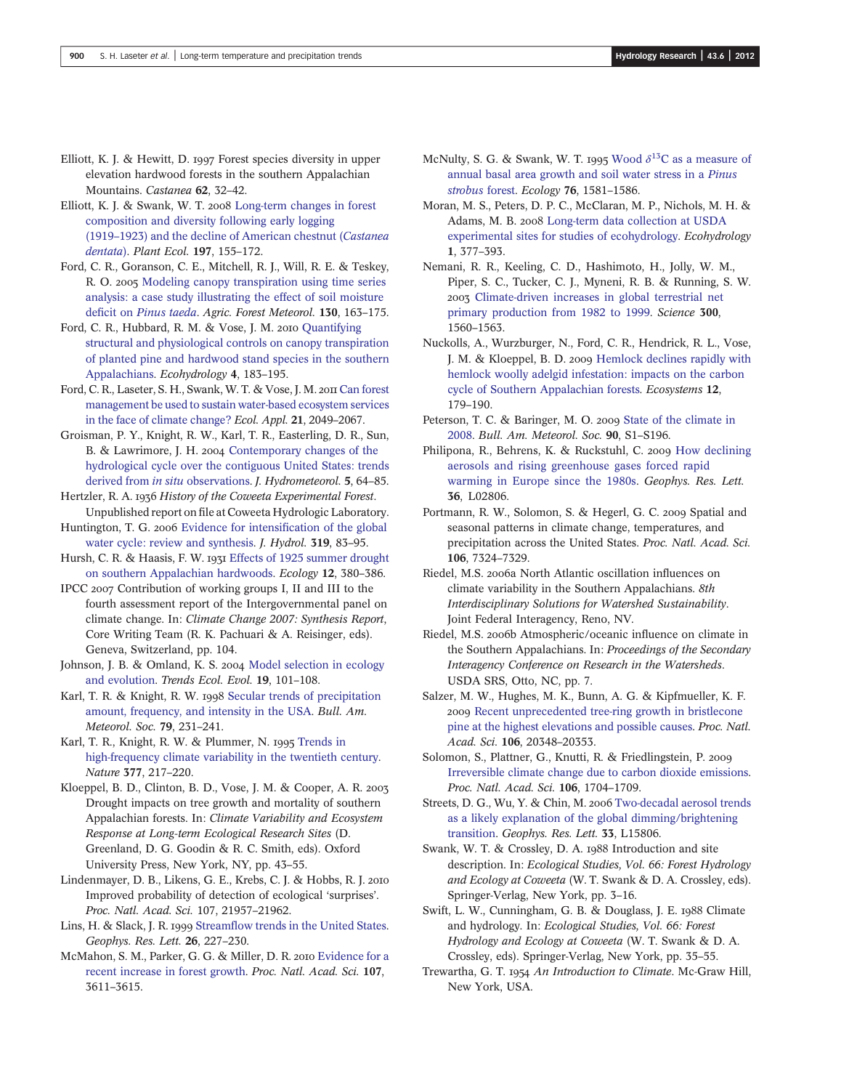- Elliott, K. J. & Hewitt, D. 1997 Forest species diversity in upper elevation hardwood forests in the southern Appalachian Mountains. Castanea 62, 32–42.
- Elliott, K. J. & Swank, W. T. 2008 [Long-term changes in forest](http://dx.doi.org/10.1007/s11258-007-9352-3) [composition and diversity following early logging](http://dx.doi.org/10.1007/s11258-007-9352-3) (1919–[1923\) and the decline of American chestnut \(](http://dx.doi.org/10.1007/s11258-007-9352-3)Castanea [dentata](http://dx.doi.org/10.1007/s11258-007-9352-3)). Plant Ecol. 197, 155–172.
- Ford, C. R., Goranson, C. E., Mitchell, R. J., Will, R. E. & Teskey, R. O. 2005 [Modeling canopy transpiration using time series](http://dx.doi.org/10.1016/j.agrformet.2005.03.004) [analysis: a case study illustrating the effect of soil moisture](http://dx.doi.org/10.1016/j.agrformet.2005.03.004) deficit on [Pinus taeda](http://dx.doi.org/10.1016/j.agrformet.2005.03.004). Agric. Forest Meteorol. 130, 163–175.
- Ford, C. R., Hubbard, R. M. & Vose, J. M. 2010 [Quantifying](http://dx.doi.org/10.1002/eco.136) [structural and physiological controls on canopy transpiration](http://dx.doi.org/10.1002/eco.136) [of planted pine and hardwood stand species in the southern](http://dx.doi.org/10.1002/eco.136) [Appalachians](http://dx.doi.org/10.1002/eco.136). Ecohydrology 4, 183–195.
- Ford, C. R., Laseter, S. H., Swank, W. T. & Vose, J. M. 2011 [Can forest](http://dx.doi.org/10.1890/10-2246.1) [management be used to sustain water-based ecosystem services](http://dx.doi.org/10.1890/10-2246.1) [in the face of climate change?](http://dx.doi.org/10.1890/10-2246.1) Ecol. Appl. 21, 2049–2067.
- Groisman, P. Y., Knight, R. W., Karl, T. R., Easterling, D. R., Sun, B. & Lawrimore, J. H. 2004 [Contemporary changes of the](http://dx.doi.org/10.1175/1525-7541(2004)005%3C0064:CCOTHC%3E2.0.CO;2) [hydrological cycle over the contiguous United States: trends](http://dx.doi.org/10.1175/1525-7541(2004)005%3C0064:CCOTHC%3E2.0.CO;2) [derived from](http://dx.doi.org/10.1175/1525-7541(2004)005%3C0064:CCOTHC%3E2.0.CO;2) in situ observations. J. Hydrometeorol. 5, 64-85.
- Hertzler, R. A. 1936 History of the Coweeta Experimental Forest. Unpublished report on file at Coweeta Hydrologic Laboratory.
- Huntington, T. G. 2006 [Evidence for intensi](http://dx.doi.org/10.1016/j.jhydrol.2005.07.003)fication of the global [water cycle: review and synthesis](http://dx.doi.org/10.1016/j.jhydrol.2005.07.003). J. Hydrol. 319, 83–95.
- Hursh, C. R. & Haasis, F. W. 1931 [Effects of 1925 summer drought](http://dx.doi.org/10.2307/1931640) [on southern Appalachian hardwoods.](http://dx.doi.org/10.2307/1931640) Ecology 12, 380–386.
- IPCC 2007 Contribution of working groups I, II and III to the fourth assessment report of the Intergovernmental panel on climate change. In: Climate Change 2007: Synthesis Report, Core Writing Team (R. K. Pachuari & A. Reisinger, eds). Geneva, Switzerland, pp. 104.
- Johnson, J. B. & Omland, K. S. 2004 [Model selection in ecology](http://dx.doi.org/10.1016/j.tree.2003.10.013) [and evolution](http://dx.doi.org/10.1016/j.tree.2003.10.013). Trends Ecol. Evol. 19, 101–108.
- Karl, T. R. & Knight, R. W. 1998 [Secular trends of precipitation](http://dx.doi.org/10.1175/1520-0477(1998)079%3C0231:STOPAF%3E2.0.CO;2) [amount, frequency, and intensity in the USA.](http://dx.doi.org/10.1175/1520-0477(1998)079%3C0231:STOPAF%3E2.0.CO;2) Bull. Am. Meteorol. Soc. 79, 231–241.
- Karl, T. R., Knight, R. W. & Plummer, N. 1995 [Trends in](http://dx.doi.org/10.1038/377217a0) [high-frequency climate variability in the twentieth century.](http://dx.doi.org/10.1038/377217a0) Nature 377, 217–220.
- Kloeppel, B. D., Clinton, B. D., Vose, J. M. & Cooper, A. R. Drought impacts on tree growth and mortality of southern Appalachian forests. In: Climate Variability and Ecosystem Response at Long-term Ecological Research Sites (D. Greenland, D. G. Goodin & R. C. Smith, eds). Oxford University Press, New York, NY, pp. 43–55.
- Lindenmayer, D. B., Likens, G. E., Krebs, C. J. & Hobbs, R. J. Improved probability of detection of ecological 'surprises'. Proc. Natl. Acad. Sci. 107, 21957–21962.
- Lins, H. & Slack, J. R. 1999 Streamfl[ow trends in the United States](http://dx.doi.org/10.1029/1998GL900291). Geophys. Res. Lett. 26, 227–230.
- McMahon, S. M., Parker, G. G. & Miller, D. R. 2010 [Evidence for a](http://dx.doi.org/10.1073/pnas.0912376107) [recent increase in forest growth](http://dx.doi.org/10.1073/pnas.0912376107). Proc. Natl. Acad. Sci. 107, 3611–3615.
- McNulty, S. G. & Swank, W. T. 1995 [Wood](http://dx.doi.org/10.2307/1938159)  $\delta^{13}$ [C as a measure of](http://dx.doi.org/10.2307/1938159) [annual basal area growth and soil water stress in a](http://dx.doi.org/10.2307/1938159) Pinus [strobus](http://dx.doi.org/10.2307/1938159) forest. Ecology 76, 1581–1586.
- Moran, M. S., Peters, D. P. C., McClaran, M. P., Nichols, M. H. & Adams, M. B. 2008 [Long-term data collection at USDA](http://dx.doi.org/10.1002/eco.24) [experimental sites for studies of ecohydrology.](http://dx.doi.org/10.1002/eco.24) Ecohydrology 1, 377–393.
- Nemani, R. R., Keeling, C. D., Hashimoto, H., Jolly, W. M., Piper, S. C., Tucker, C. J., Myneni, R. B. & Running, S. W. [Climate-driven increases in global terrestrial net](http://dx.doi.org/10.1126/science.1082750) [primary production from 1982 to 1999.](http://dx.doi.org/10.1126/science.1082750) Science 300, 1560–1563.
- Nuckolls, A., Wurzburger, N., Ford, C. R., Hendrick, R. L., Vose, J. M. & Kloeppel, B. D. 2009 [Hemlock declines rapidly with](http://dx.doi.org/10.1007/s10021-008-9215-3) [hemlock woolly adelgid infestation: impacts on the carbon](http://dx.doi.org/10.1007/s10021-008-9215-3) [cycle of Southern Appalachian forests](http://dx.doi.org/10.1007/s10021-008-9215-3). Ecosystems 12, 179–190.
- Peterson, T. C. & Baringer, M. O. 2009 [State of the climate in](http://dx.doi.org/10.1175/BAMS-90-8-StateoftheClimate) [2008](http://dx.doi.org/10.1175/BAMS-90-8-StateoftheClimate). Bull. Am. Meteorol. Soc. 90, S1–S196.
- Philipona, R., Behrens, K. & Ruckstuhl, C. 2009 [How declining](http://dx.doi.org/10.1029/2008GL036350) [aerosols and rising greenhouse gases forced rapid](http://dx.doi.org/10.1029/2008GL036350) [warming in Europe since the 1980s.](http://dx.doi.org/10.1029/2008GL036350) Geophys. Res. Lett. 36, L02806.
- Portmann, R. W., Solomon, S. & Hegerl, G. C. 2009 Spatial and seasonal patterns in climate change, temperatures, and precipitation across the United States. Proc. Natl. Acad. Sci. 106, 7324–7329.
- Riedel, M.S. 2006a North Atlantic oscillation influences on climate variability in the Southern Appalachians. 8th Interdisciplinary Solutions for Watershed Sustainability. Joint Federal Interagency, Reno, NV.
- Riedel, M.S. 2006b Atmospheric/oceanic influence on climate in the Southern Appalachians. In: Proceedings of the Secondary Interagency Conference on Research in the Watersheds. USDA SRS, Otto, NC, pp. 7.
- Salzer, M. W., Hughes, M. K., Bunn, A. G. & Kipfmueller, K. F. 2009 [Recent unprecedented tree-ring growth in bristlecone](http://dx.doi.org/10.1073/pnas.0903029106) [pine at the highest elevations and possible causes](http://dx.doi.org/10.1073/pnas.0903029106). Proc. Natl. Acad. Sci. 106, 20348–20353.
- Solomon, S., Plattner, G., Knutti, R. & Friedlingstein, P. [Irreversible climate change due to carbon dioxide emissions](http://dx.doi.org/10.1073/pnas.0812721106). Proc. Natl. Acad. Sci. 106, 1704–1709.
- Streets, D. G., Wu, Y. & Chin, M. 2006 [Two-decadal aerosol trends](http://dx.doi.org/10.1029/2006GL026471) [as a likely explanation of the global dimming/brightening](http://dx.doi.org/10.1029/2006GL026471) [transition.](http://dx.doi.org/10.1029/2006GL026471) Geophys. Res. Lett. 33, L15806.
- Swank, W. T. & Crossley, D. A. 1988 Introduction and site description. In: Ecological Studies, Vol. 66: Forest Hydrology and Ecology at Coweeta (W. T. Swank & D. A. Crossley, eds). Springer-Verlag, New York, pp. 3–16.
- Swift, L. W., Cunningham, G. B. & Douglass, J. E. 1988 Climate and hydrology. In: Ecological Studies, Vol. 66: Forest Hydrology and Ecology at Coweeta (W. T. Swank & D. A. Crossley, eds). Springer-Verlag, New York, pp. 35–55.
- Trewartha, G. T. 1954 An Introduction to Climate. Mc-Graw Hill, New York, USA.